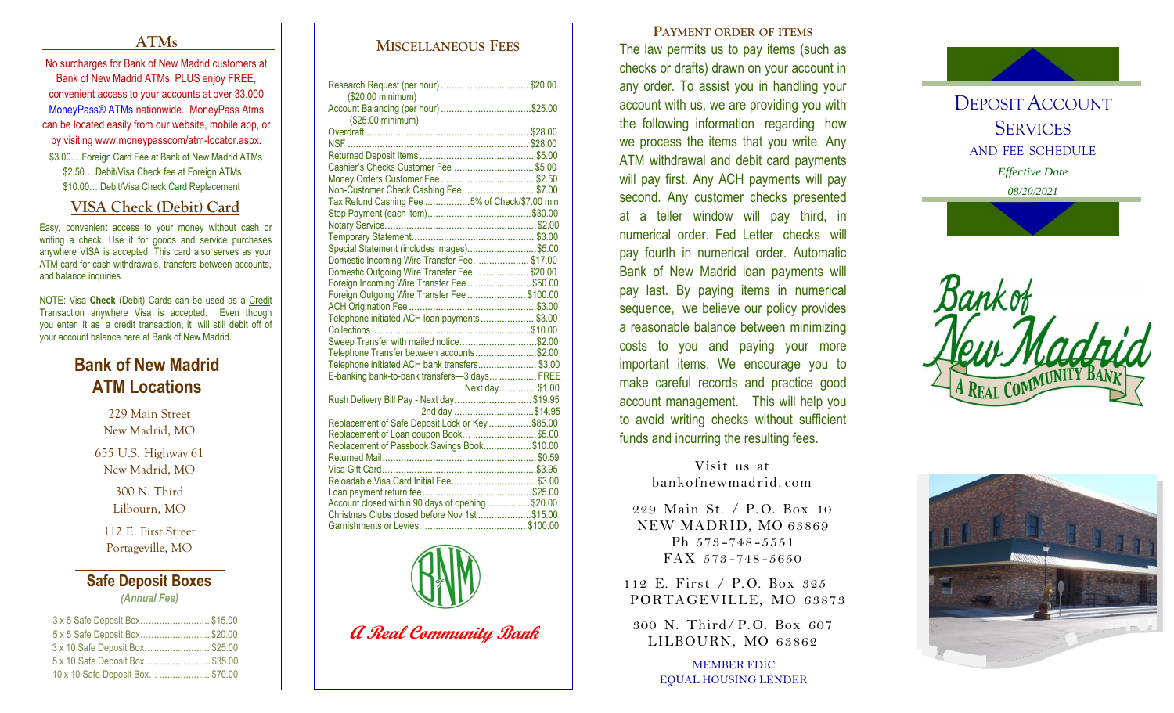## **ATMs**

No surcharges for Bank of New Madrid customers at Bank of New Madrid ATMs. PLUS enjoy FREE, convenient access to your accounts at over 33,000 MoneyPass® ATMs nationwide. MoneyPass Atms can be located easily from our website, mobile app, or by visiting www.moneypasscom/atm -locator.aspx. \$3.00....Foreign Card Fee at Bank of New Madrid ATMs \$2.50….Debit/Visa Check fee at Foreign ATMs \$10.00….Debit/Visa Check Card Replacement

## **VISA Check (Debit) Card**

Easy, convenient access to your money without cash or writing a check. Use it for goods and service purchases anywhere VISA is accepted. This card also serves as your ATM card for cash withdrawals, transfers between accounts, and balance inquiries.

NOTE: Visa Check (Debit) Cards can be used as a Credit Transaction anywhere Visa is accepted. Even though you enter it as a credit transaction, it will still debit off of your account balance here at Bank of New Madrid.

# **Bank of New Madrid ATM Locations**

229 Main Street New Madrid, MO

655 U.S. Highway 61 New Madrid, MO

> 300 N. Third Lilbourn, MO

112 E. First Street Portageville, MO

## **Safe Deposit Boxes** *(Annual Fee)*

| 3 x 5 Safe Deposit Box\$15.00    |  |
|----------------------------------|--|
| 5 x 5 Safe Deposit Box\$20.00    |  |
| 3 x 10 Safe Deposit Box \$25.00  |  |
| 5 x 10 Safe Deposit Box  \$35.00 |  |
| 10 x 10 Safe Deposit Box \$70.00 |  |
|                                  |  |

## **MISCELLANEOUS FEES**

| (\$20.00 minimum)                                 |  |
|---------------------------------------------------|--|
| (\$25.00 minimum)                                 |  |
|                                                   |  |
|                                                   |  |
|                                                   |  |
| Cashier's Checks Customer Fee  \$5.00             |  |
|                                                   |  |
|                                                   |  |
| Non-Customer Check Cashing Fee\$7.00              |  |
| Tax Refund Cashing Fee 5% of Check/\$7.00 min     |  |
|                                                   |  |
|                                                   |  |
|                                                   |  |
| Special Statement (includes images)\$5.00         |  |
| Domestic Incoming Wire Transfer Fee\$17.00        |  |
| Domestic Outgoing Wire Transfer Fee  \$20.00      |  |
| Foreign Incoming Wire Transfer Fee \$50.00        |  |
| Foreign Outgoing Wire Transfer Fee \$100.00       |  |
|                                                   |  |
| Telephone initiated ACH loan payments  \$3.00     |  |
|                                                   |  |
| Sweep Transfer with mailed notice\$2.00           |  |
| Telephone Transfer between accounts\$2.00         |  |
| Telephone initiated ACH bank transfers \$3.00     |  |
| E-banking bank-to-bank transfers-3 days  FREE     |  |
| Next day\$1.00                                    |  |
| Rush Delivery Bill Pay - Next day \$19.95         |  |
| 2nd day \$14.95                                   |  |
| Replacement of Safe Deposit Lock or Key\$85.00    |  |
| Replacement of Loan coupon Book \$5.00            |  |
| Replacement of Passbook Savings Book\$10.00       |  |
|                                                   |  |
| Visa Gift Card…………………………………………………\$3.95           |  |
| Reloadable Visa Card Initial Fee\$3.00            |  |
|                                                   |  |
| Account closed within 90 days of opening  \$20.00 |  |
| Christmas Clubs closed before Nov 1st \$15.00     |  |
|                                                   |  |



**A Real Community Bank**

**PAYMENT ORDER OF ITEMS** The law permits us to pay items (such as checks or drafts) drawn on your account in any order. To assist you in handling your account with us, we are providing you with the following information regarding how we process the items that you write. Any ATM withdrawal and debit card payments will pay first. Any ACH payments will pay second. Any customer checks presented at a teller window will pay third, in numerical order. Fed Letter checks will pay fourth in numerical order. Automatic Bank of New Madrid loan payments will pay last. By paying items in numerical sequence, we believe our policy provides a reasonable balance between minimizing costs to you and paying your more important items. We encourage you to make careful records and practice good account management. This will help you to avoid writing checks without sufficient funds and incurring the resulting fees.

> Visit us at bankofnewmadrid. com

229 Main St. / P.O. Box 10 NEW MADRID, MO 63869 Ph 573-748-5551 FAX 573 -748 -5650

112 E. First / P.O. Box 325 PORTAGEVILLE, MO 63873

300 N. Third/ P. O. Box 607 LILBOURN, MO 63862

> MEMBER FDIC EQUAL HOUSING LENDER